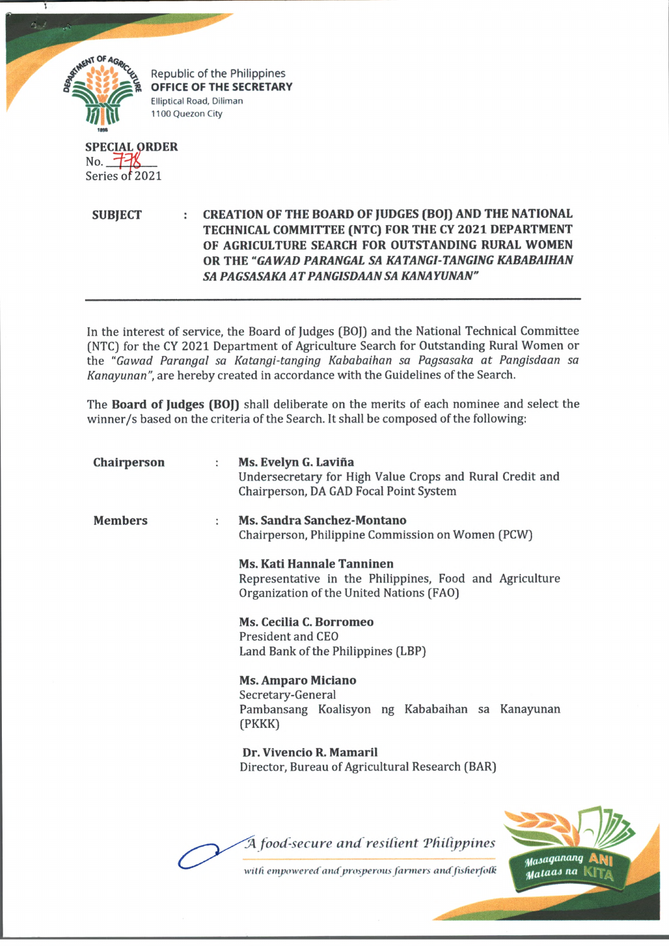

**SPECIAL ORDER** No.  $\pm$ 18 Series of 2021

5

**SUBJECT : CREATION OF THE BOARD OF JUDGES (BOJ) AND THE NATIONAL TECHNICAL COMMITTEE (NTC) FOR THE CY 2021 DEPARTMENT OF AGRICULTURE SEARCH FOR OUTSTANDING RURAL WOMEN OR THE** *"GAWAD PARANGAL SA KATANGI-TANGING KABABAIHAN SA PAGSASAKA ATPANGISDAANSA KANAYUNAN"*

In the interest of service, the Board of Judges (BOJ) and the National Technical Committee (NTC) for the CY 2021 Department of Agriculture Search for Outstanding Rural Women or the *"Gawad Parangal sa Katangi-tanging Kababaihan sa Pagsasaka at Pangisdaan sa Kanayunan",* are hereby created in accordance with the Guidelines of the Search.

The **Board of Judges (BOJ)** shall deliberate on the merits of each nominee and select the winner/s based on the criteria of the Search. It shall be composed of the following:

| Chairperson    | ÷ | Ms. Evelyn G. Laviña<br>Undersecretary for High Value Crops and Rural Credit and<br>Chairperson, DA GAD Focal Point System              |
|----------------|---|-----------------------------------------------------------------------------------------------------------------------------------------|
| <b>Members</b> |   | <b>Ms. Sandra Sanchez-Montano</b><br>Chairperson, Philippine Commission on Women (PCW)                                                  |
|                |   | <b>Ms. Kati Hannale Tanninen</b><br>Representative in the Philippines, Food and Agriculture<br>Organization of the United Nations (FAO) |
|                |   | Ms. Cecilia C. Borromeo<br><b>President and CEO</b><br>Land Bank of the Philippines (LBP)                                               |
|                |   | <b>Ms. Amparo Miciano</b><br>Secretary-General<br>Pambansang Koalisyon ng Kababaihan sa Kanayunan<br>(PKKK)                             |
|                |   | Dr. Vivencio R. Mamaril<br>Director, Bureau of Agricultural Research (BAR)                                                              |
|                |   |                                                                                                                                         |
|                |   | A food-secure and resilient Philippines<br>Masaganang                                                                                   |
|                |   | with empowered and prosperous farmers and fisherfolk<br>Mataas na                                                                       |

**Control Marie**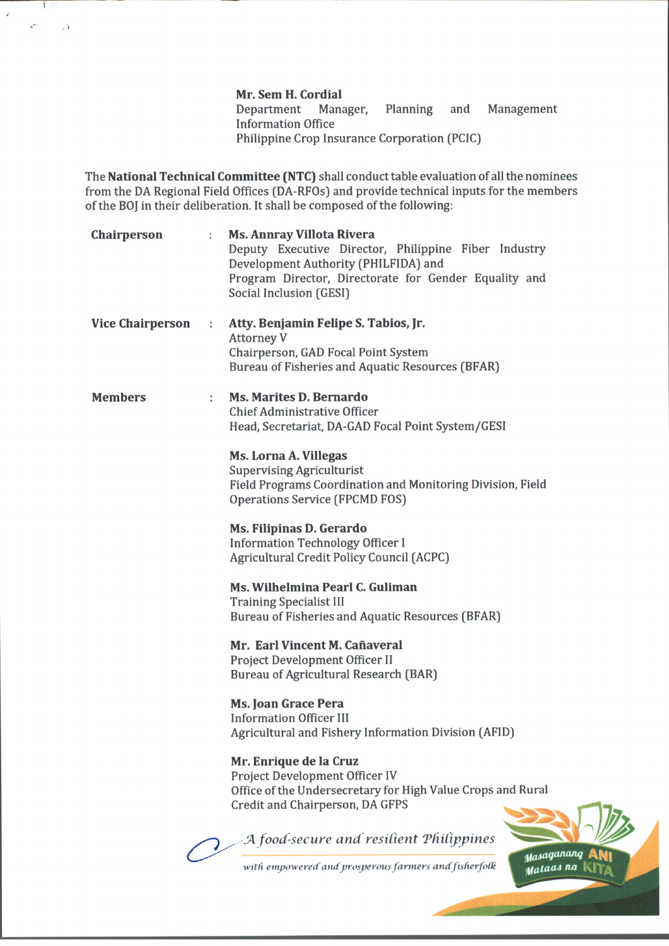**Mr. Sem H. Cordial** Department Manager, Planning and Management Information Office Philippine Crop Insurance Corporation (PCIC)

The **National Technical Committee (NTC)** shall conduct table evaluation of all the nominees from the DA Regional Field Offices (DA-RFOs) and provide technical inputs for the members of the BOJ in their deliberation. It shall be composed of the following:

Î

 $\sqrt{s}$ 

 $\mathcal{L}^{\mu\nu}$ 

 $\hat{\mathbf{r}}$ 

| Chairperson             |                      | <b>Ms. Annray Villota Rivera</b><br>Deputy Executive Director, Philippine Fiber Industry<br>Development Authority (PHILFIDA) and<br>Program Director, Directorate for Gender Equality and<br>Social Inclusion (GESI) |
|-------------------------|----------------------|----------------------------------------------------------------------------------------------------------------------------------------------------------------------------------------------------------------------|
| <b>Vice Chairperson</b> | $\ddot{\cdot}$       | Atty. Benjamin Felipe S. Tabios, Jr.<br><b>Attorney V</b><br>Chairperson, GAD Focal Point System<br>Bureau of Fisheries and Aquatic Resources (BFAR)                                                                 |
| <b>Members</b>          | $\ddot{\phantom{a}}$ | Ms. Marites D. Bernardo<br><b>Chief Administrative Officer</b><br>Head, Secretariat, DA-GAD Focal Point System/GESI                                                                                                  |
|                         |                      | Ms. Lorna A. Villegas<br><b>Supervising Agriculturist</b><br>Field Programs Coordination and Monitoring Division, Field<br><b>Operations Service (FPCMD FOS)</b>                                                     |
|                         |                      | Ms. Filipinas D. Gerardo<br><b>Information Technology Officer I</b><br>Agricultural Credit Policy Council (ACPC)                                                                                                     |
|                         |                      | Ms. Wilhelmina Pearl C. Guliman<br><b>Training Specialist III</b><br>Bureau of Fisheries and Aquatic Resources (BFAR)                                                                                                |
|                         |                      | Mr. Earl Vincent M. Cañaveral<br>Project Development Officer II<br>Bureau of Agricultural Research (BAR)                                                                                                             |
|                         |                      | Ms. Joan Grace Pera<br><b>Information Officer III</b><br>Agricultural and Fishery Information Division (AFID)                                                                                                        |
|                         |                      | Mr. Enrique de la Cruz<br>Project Development Officer IV<br>Office of the Undersecretary for High Value Crops and Rural<br>Credit and Chairperson, DA GFPS                                                           |
|                         |                      | A food-secure and resilient Philippines<br>Masaganang                                                                                                                                                                |
|                         |                      | with empowered and prosperous farmers and fisherfolk<br>Mataas na                                                                                                                                                    |

**CONTRACTOR**